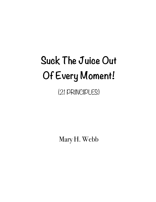# **Suck The Juice Out Of Every Moment!**

(21 PRINCIPLES)

Mary H. Webb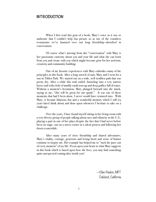#### **INTRODUCTION**

When I first read this gem of a book, Mary's voice in it was so authentic that I couldn't help but picture us at one of the countless restaurants we've haunted over our long friendship—absorbed in conversation.

 Of course what's missing from *this* "conversation" with Mary is her passionate curiosity about you and your life and what she can learn from you and create with you which might become grist for her activism, creativity and community building.

 One of my favorite experiences with Mary embodies many of the principles in this book. After a long stretch of rain, Mary and I went for a run in Tilden Park. We started out on a wide, well trodden path that was pretty dry. After a while this trail ended, funneling into a very narrow horse trail with clods of muddy earth torn up and deep gullies full of water. Without a moment's hesitation, Mary plunged forward into the muck, saying to me, "this will be great for our quads." It was one of those moments that had I been alone, I never would have ventured into. With Mary, it became hilarious fun and a wonderful memory which I still (15 years later) think about and draw upon whenever I hesitate to take on a challenge.

Over the years, I have found myself sitting in her living room with a very diverse group of people talking about race and ethnicity in the U.S., playing a part in one of her plays despite the fact that I had never before been on stage, out on a street corner in a silent protest and following her down a waterslide.

After many years of close friendship and shared adventures, Mary's vitality, courage, generous and loving heart and sense of humor continue to inspire me. Her example has helped me to "suck the juice out of every moment" of *my* life. If you open your heart to what Mary suggests in this book which is based upon how she lives, you may find something quite unexpected coming alive inside you!

> —Ellen Peskin, MFT Oakland, California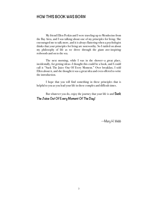#### **HOW THIS BOOK WAS BORN**

My friend Ellen Peskin and I were traveling up to Mendocino from the Bay Area, and I was talking about one of my principles for living. She encouraged me to talk more, and it is always flattering when a psychologist thinks that your principles for living are noteworthy. So I rattled on about my philosophy of life as we drove through the giant awe-inspiring redwoods and on to the sea.

 The next morning, while I was in the shower—a great place, incidentally, for getting ideas—I thought this could be a book, and I could call it "Suck The Juice Out Of Every Moment." Over breakfast, I told Ellen about it, and she thought it was a great idea and even offered to write the introduction.

 I hope that you will find something in these principles that is helpful to you as you lead your life in these complex and difficult times.

 But whatever you do, enjoy the journey that your life is and **Suck The Juice Out Of Every Moment Of The Day!**

—Mary H. Webb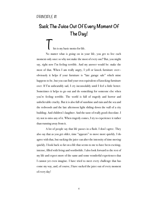### **Suck The Juice Out Of Every Moment Of The Day!**

his is my basic motto for life.

No matter what is going on in your life, you get to live each moment only once so why not make the most of every one? But, you might say, right now I'm feeling terrible. And my answer would be: make the most of that. When I am really angry, I yell or knock furniture over obviously it helps if your furniture is "late garage sale" which mine happens to be, but you can find your own equivalent of knocking furniture over. If I'm unbearably sad, I cry inconsolably until I feel a little better. Sometimes it helps to go out and do something for someone else when you're feeling terrible. The world is full of tragedy and horror and unbelievable cruelty. But it is also full of sunshine and rain and the sea and the redwoods and the late afternoon light sliding down the wall of a city building. And children's laughter. And the taste of really good chocolate. I try not to miss any of it. When tragedy comes, I try to experience it rather than running away from it.

 A lot of people say that life passes in a flash. I don't agree. They also say that as you get older, time "appears" to move more quickly. I do agree with that, but sucking the juice can alter the intensity of time moving quickly. I look back so far on a life that seems to me to have been exciting, intense, filled with living and worthwhile. I also look forward to the rest of my life and expect more of the same and some wonderful experiences that I cannot yet even imagine. I have tried to meet every challenge that has come my way, and, of course, I have sucked the juice out of every moment of every day!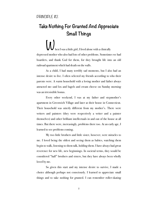### **Take Nothing For Granted And Appreciate Small Things**

hen I was a little girl, I lived alone with a clinically depressed mother who also had lots of other problems. Sometimes we had boarders, and thank God for them, for they brought life into an old railroad apartment which had death on the walls.

 As a child, I had many terribly sad moments, but I also had an intense desire to live. I often selected my friends according to who their parents were. A warm household with a loving mother and father always attracted me—and lox and bagels and cream cheese on Sunday morning was an irresistible bonus.

 Every other weekend, I was at my father and stepmother's apartment in Greenwich Village and later at their house in Connecticut. Their household was utterly different from my mother's. There were writers and painters (they were respectively a writer and a painter themselves) and other brilliant intellectuals in and out of the house at all times. But there were, increasingly, problems there too. At an early age, I learned to see problems coming.

 My two little brothers and little sister, however, were miracles to me. I loved being the oldest and seeing them as babies, watching them begin to walk, listening to them talk, holding them. I have always had great reverence for new life, new beginnings. In societal terms, they would be considered "half" brothers and sisters, but they have always been wholly loved by me.

 So given this start and my intense desire to survive, I made a choice although perhaps not consciously. I learned to appreciate small things and to take nothing for granted. I can remember roller-skating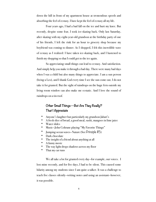down the hill in front of my apartment house at tremendous speeds and absorbing the feel of ecstasy. I have kept the feel of ecstasy all my life.

 Four years ago, I had a bad fall on the ice and hurt my knee. But recently, despite some fear, I took ice-skating back. Only last Saturday, after skating with my eight-year-old grandson at the birthday party of one of his friends, I left the rink for an hour to grocery shop because my boyfriend was coming to dinner. As I shopped, I felt this incredible wave of ecstasy as I realized: I have taken ice-skating back, and I hastened to finish my shopping so that I could get to the ice again.

 So appreciating small things can lead to ecstasy. And satisfaction. And simply help you make it through a bad day. There were many bad days when I was a child but also many things to appreciate. I am a sun person (being a Leo), and I thank God every time I see the sun come out. I do not take it for granted. But the sight of raindrops on the huge fern outside my living room window can also make me ecstatic. And I love the sound of raindrops on a tin roof.

#### **Other Small Things—But Are They Really? That I Appreciate**

- Anyone's laughter but particularly my grandson Jabari's
- A fresh slice of bread, a good meal, sushi, mangoes in lime juice
- Water slides
- Music-John Coltrane playing "My Favorite Things"
- Jumping ocean waves—Nature (See Principle #5)
- Dark chocolate
- The insight of a friend about anything at all
- A funny movie
- The way light drops shadows across my floor
- That my car runs

We all take a lot for granted every day—for example, our voices. I lost mine recently, and for five days, I had to be silent. This caused some hilarity among my students since I am quite a talker. It was a challenge to teach five classes silently—writing notes and using an assistant—however, it was possible.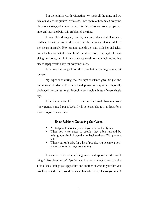But the point is worth reiterating: we speak all the time, and we take our voices for granted. Voiceless, I was aware of how much everyone else was speaking, of how necessary it is. But, of course, some people are mute and must deal with this problem all the time.

In one class during my five-day silence, Lillian, a deaf woman, read her play with a cast of other students. She became deaf as an adult so she speaks normally. Her husband attends the class with her and takes notes for her so that she can "hear" the discussion. That night, he was giving her notes, and I, in my voiceless condition, was holding up big pieces of paper with notes for everyone to see.

Paper was fluttering all over the room, but the evening was a great success!

My experience during the five days of silence gave me just the tiniest taste of what a deaf or a blind person or any other physically challenged person has to go through every single minute of every single day!

I cherish my voice. I have to. I am a teacher. And I have not taken it for granted since I got it back. I will be elated about it—at least for a while. I rejoice in my voice!

#### **Some Sidebars On Losing Your Voice**

- A lot of people shout at you as if you were suddenly deaf.
- When you write notes to people, they often respond by writing notes back. I would write back to them: "No, *you* can talk!"
- When you can't talk, for a lot of people, you become a nonperson, less interesting in every way.

 Remember, take nothing for granted and appreciate the small things! Lists cheer me up! If you're at all like me, you might want to make a list of small things you appreciate and another of what in your life you take for granted. Then post them someplace where they'll make you smile!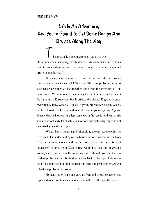# **Life Is An Adventure, And You're Bound To Get Some Bumps And Bruises Along The Way**

his is actually something my son said to his wife Shirleyann when describing his childhood: "My mom raised me to think that life was an adventure and that you were bound to get some bumps and bruises along the way."

When my son Alex was ten years old, we hitch-hiked through Europe and Africa instead of fifth grade. This was probably the most spectacular adventure we had together aside from the adventure of his being born. We were out of the country for eight months, and we spent four months in Europe and four in Africa. We visited: England, France, Switzerland, Italy, Greece, Tunisia, Algeria, Morocco, Senegal, Ghana, the Ivory Coast, and Liberia, and we made brief stops in Togo and Nigeria. What we learned was worth at least ten years of fifth grade, and with a little summer school and a lot of actual schoolwork during the trip, my son went on to sixth grade the next year.

We got lots of bumps and bruises along the way. At one point, we were kind of stranded waiting on the border between Ghana and the Ivory Coast to change money and weren't sure what our next form of "transport" (as they say in West Africa) would be. Alex was hungry and grumpy and expressed it in the following way: "I thought you said that our hardest problem would be finding a boat back to Europe. This seems hard." I comforted him and assured him that our problems *would* get solved and probably very soon.

 Moments later, someone gave us fruit and bread, someone else explained to us how to change money and walked us through the process,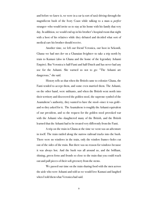and before we knew it, we were in a car (a sort of taxi) driving through the magnificent bush of the Ivory Coast while talking to a man—a *perfect* stranger—who would invite us to stay at his home with his family that very day. In addition, we would end up in his brother's hospital room that night with a host of his relatives while they debated and decided what sort of medical care his brother should receive.

Another time, we left our friend Veronica, our host in Sekondi, Ghana—we had met *her* on a Ghanaian freighter—to take a trip north by train to Kumasi (also in Ghana and the home of the legendary Ashanti Empire). But Veronica is half-Fanti and half-Dutch and has never had any use for the Ashanti. She warned us not to go: "The Ashanti are dangerous," she said.

 History tells us that when the British came to colonize Ghana, the Fanti tended to accept them, and some even married them. The Ashanti, on the other hand, were militants, and when the British went north into their territory and discovered the golden stool, the supreme symbol of the Asantahene's authority, they wanted to have the stool—since it was gold and so they asked for it. The Asantahene is roughly the Ashanti equivalent of our president, and so the request for the golden stool provoked war with the Ashanti who slaughtered many of the British, and the British learned that the Ashanti had to be treated very differently from the Fanti.

 A trip on the train in Ghana at the time we went was an adventure in itself. The train rattled along the narrow railroad tracks into the bush. There were no windows in the train, only the window frames—holes cut out of the sides of the train. But there was no reason for windows because it was always hot. And the bush was all around us, and the brilliant, shining, green ferns and fronds so close to the train that you could reach out and pull pieces of their soft greenery from the stems.

 We passed our time on the train sharing food with the men across the aisle who were Ashanti and told us we would love Kumasi and laughed when I told them what Veronica had said.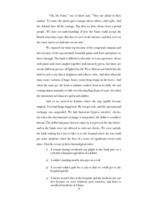"Oh, the Fanti," one of them said. "They are afraid of their shadow. To some, the spirits gave courage and to others, other gifts. And the Ashanti have all the courage. But then we have always been a proud people. We have no understanding of how the Fanti could accept the British when they came. But also we were in the interior, and they were on the coast, and so we had time on our side."

 We enjoyed our train trip because of the congenial company and also because of the spectacularly beautiful palms and ferns and plants we drove through. The bush is difficult to describe; it is an experience, dense with plants and vines tangled together and intensely green, but there are twenty different greens—all lighted by the West African sun which hits the land in such a way that it heightens and reflects color. And then when the rains come—curtains of huge, heavy, warm drops hang on the leaves. And when the rains go, the bush is radiant—soaked clean in its bath, the sun coming almost instantly to slide over the dazzling drops of water, for often the rainstorms in Ghana are quick and sudden.

 And so we arrived in Kumasi where the trip rapidly became magical. Two bad things happened. My son got sick, and the international exchange was suspended. We had American Express travelers' checks, but when the international exchange is suspended, the dollar is worthless abroad. The dollar had gone down in value by ten percent the day before, and so the banks were not allowed to cash our checks. We were outside the bank waiting for a bus to take us to the hospital where my son could get some medicine when the first of a series of significant events took place. I list the events in their chronological order:

- 1) A woman having overheard our plight in the bank gave us a cedi (the Ghanaian equivalent of a dollar)
- 2) A soldier standing nearby also gave us a cedi
- 3) A second soldier paid for a cab so that we could get to the hospital quickly
- 4) A doctor treated Alex at the hospital, and the medical care was free because we were relatively poor travelers, and there is socialized medicine in Ghana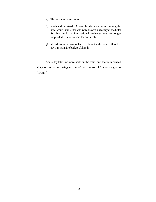- 5) The medicine was also free
- 6) Setch and Frank—the Ashanti brothers who were running the hotel while their father was away allowed us to stay at the hotel for free until the international exchange was no longer suspended. They also paid for our meals
- 7) Mr. Akiwumi, a man we had barely met at the hotel, offered to pay our train fare back to Sekondi

And a day later, we were back on the train, and the train banged along on its tracks taking us out of the country of "those dangerous Ashanti."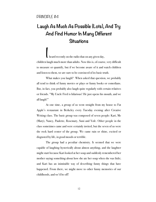# **Laugh As Much As Possible (Lots), And Try And Find Humor In Many Different Situations**

I heard recently on the radio that on any given day, children laugh much more than adults. Now this is, of course, very difficult to measure or quantify, but if we become aware of it and watch children and listen to them, we are sure to be convinced of its basic truth.

 What makes you laugh? When asked that question, we probably all tend to think of funny movies or plays or funny books or comedians. But, in fact, you probably also laugh quite regularly with certain relatives or friends. "My Uncle Fred is hilarious! He just opens his mouth, and we all laugh!"

 At one time, a group of us went straight from my house to Fat Apple's restaurant in Berkeley every Tuesday evening after Creative Writing class. The basic group was composed of seven people: Kari, Me (Mary), Nancy, Paulette, Rosemary, Suni and Yofe. Other people in the class sometimes came and were certainly invited, but the seven of us were the rock hard center of the group. We came rain or shine, excited or disgusted by life, in good moods or terrible.

 The group had a peculiar chemistry. It seemed that we were capable of laughing hysterically about almost anything, and the laughter might start because Kari looked at her soup and suddenly remembered her mother saying something about how she ate her soup when she was little; and Kari has an inimitable way of describing funny things that have happened. From there, we might move to other funny memories of our childhoods, and we'd be off!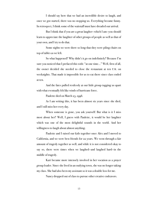I should say here that we had an incredible desire to laugh, and once we got started, there was no stopping us. Everything became funny. In retrospect, I think some of the waitstaff must have dreaded our arrival.

 But I think that if you are a great laugher—which I am—you should learn to appreciate the laughter of other groups of people as well as that of your own, and I try to do that.

 Some nights we were there so long that they were piling chairs on top of tables as we left.

 So what happened? Why didn't it go on indefinitely? Because I'm sure you noticed that I prefaced this with: "at one time…" Well, first of all, the owner decided she needed to close the restaurant at ten P.M. on weeknights. That made it impossible for us to eat there since class ended at ten.

 And the fates pulled restlessly at our little group tugging us apart with what eventually felt like winds of hurricane force.

Paulette died on March 23, 1998.

 As I am writing this, it has been almost six years since she died, and I still miss her every day.

 When someone is gone, you ask yourself: But what is it I miss most about her? Well, I guess with Paulette, it would be her laughter which was one of the most delightful sounds in the world. And her willingness to laugh about almost anything.

Paulette and I raised our kids together once Alex and I moved to California, and we were best friends for 22 years. We went through a fair amount of tragedy together as well, and while it is not considered okay to say so, there were times when we laughed—and laughed hard—in the middle of tragedy.

 Kari became more intensely involved in her vocation as a prayer group leader. Since she lived in an outlying town, she was no longer taking my class. She had also been my assistant so it was a double loss for me.

Nancy dropped out of class to pursue other creative endeavors.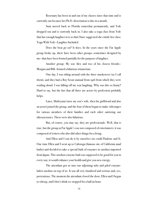Rosemary has been in and out of my classes since that time and is currently out because her Ph.D. dissertation is due in a month.

 Suni moved back to Florida somewhat permanently, and Yofe dropped out and is currently back in. I also take a yoga class from Yofe that has enough laughter in it so that I have suggested she entitle her class: Yoga With Yofe—Laughter Included.

 Does the beat go on? It does. In the years since the Fat Apple group broke up, there have been other groups—sometimes designed by me—that have been formed partially for the purpose of laughter.

 Another group: My son Alex and two of his closest friends— Morgan and Bill—formed a hilarious triumvirate.

 One day, I was riding around with the three musketeers (as I call them), and they had a Boy Scout manual from 1916 from which they were reading aloud. I was falling off my seat laughing. Why was this so funny? Hard to say, but the fact that all three are actors by profession probably helps.

 Later, Shirleyann (now my son's wife, then his girlfriend and also an actor) joined the group, and the four of them began to make videotapes for various members of their families and each other satirizing our idiosyncrasies. These were also hilarious.

But, of course, you may say, they are professionals. Well, that is true, but the group at Fat Apple's was not composed of entertainers; it was composed of writers who also did other things for a living.

 And Ellen and I can do it by ourselves (as could Paulette and I). One time Ellen and I went up to Calistoga (famous site of California mud baths) and decided to take a special bath of enzymes in sawdust imported from Japan. This sawdust-enzyme bath was supposed to be good for you in every way; it would enhance your health and give you new energy.

 The attendant got us into our adjoining tubs and piled enzymeladen sawdust on top of us. It was all very ritualized and serious and, yes, pretentious. The moment the attendant closed the door, Ellen and I began to whoop, and I don't think we stopped for a half an hour.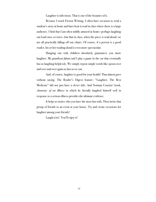Laughter is infectious. That is one of the beauties of it.

 Because I teach Fiction Writing, I often have occasion to read a student's story at home and later hear it read in class where there is a large audience. I find that I am often mildly amused at home—perhaps laughing out loud once or twice—but that in class, when the piece is read aloud, we are all practically falling off our chairs. Of course, if a person is a good reader, his or her reading aloud is even more spectacular.

 Hanging out with children absolutely guarantees you more laughter. My grandson Jabari and I play a game in the car that eventually has us laughing helplessly. We simply repeat simple words like spoon over and over and over again as fast as we can.

 And, of course, laughter is good for your health! That almost goes without saying. The Reader's Digest feature: "Laughter, The Best Medicine" did not just have a clever title. And Norman Cousins' book, *Anatomy of an Illness* in which he literally laughed himself well in response to a serious illness provides the ultimate evidence.

 It helps to notice who you have the most fun with. Then invite that group of friends to an event at your house. Try and create occasions for laughter among your friends!

Laugh a lot! You'll enjoy it!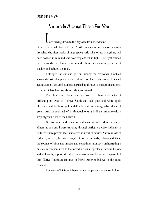#### PRINCIPLE #5

### **Nature Is Always There For You**

was driving down to the Bay Area from Mendocino three and a half hours to the North on an absolutely glorious sundrenched day after weeks of huge apocalyptic rainstorms. Everything had been soaked in rain and was now resplendent in light. The light stained the redwoods and filtered through the branches creating patterns of shadow and light on the road.

 I stopped the car and got out among the redwoods. I walked across the still damp earth and inhaled its deep rich aroma. I leaned against a moss-covered stump and gazed up through the magnificent trees to the stretch of blue sky above. My spirit soared.

 The plum trees bloom later up North so there were allies of brilliant pink trees as I drove South and pale pink and white apple blossoms and fields of yellow daffodils and every imaginable shade of green. And the sea I had left in Mendocino was a brilliant turquoise with a strip of green close to the horizon.

 We are immersed in nature and somehow often don't notice it. When my son and I were traveling through Africa, we were suddenly in cultures where people saw themselves as a part of nature. Nature in Africa is dense, intense, the bush a tangle of greens and reds, yellows and lilacs, the sounds of birds and insects and sometimes monkeys orchestrating a musical accompaniment to the incredible visual spectacle. African history and philosophy support the idea that we—as human beings—are a part of all this. Native American cultures in North America believe in the same concept.

But a way of life in which nature is a key player is open to all of us.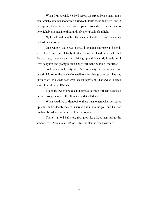When I was a child, we lived across the street from a bank—not a bank which contained money but a kind of hill with rocks and trees—and in the Spring, forsythia bushes thrust upward from the earth and almost overnight blossomed into thousands of yellow petals of sunlight.

 My friends and I climbed the bank, scaled its trees and hid among its bushes almost everyday.

 One winter, there was a record-breaking snowstorm. Schools were closed, and our relatively short street was declared impassable, and for two days, there were no cars driving up and down. My friends and I were delighted and promptly built a huge fort in the middle of the street.

 So I was a lucky city kid. But every city has parks, and one beautiful flower or the reach of one tall tree can change your day. The way in which we look at nature is what is most important. That's what Thoreau was talking about in *Walden*.

I think that when I was a child, my relationship with nature helped me get through a lot of difficult times. And it still does.

 When you drive to Mendocino, there is a moment when you curve up a hill, and suddenly the sea is spread out all around you, and I always catch my breath at that moment. I never tire of it.

 There is an old Sufi story that goes like this. A man said to the almond tree: "Speak to me of God!" And the almond tree blossomed.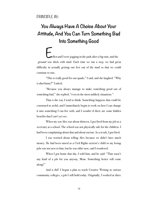# **You Always Have A Choice About Your Attitude, And You Can Turn Something Bad Into Something Good**

-llen and I were jogging in the park after a big rain, and the ground was thick with mud. Each time we ran a step, we had great difficulty in actually getting our feet out of the mud so that we could continue to run.

"This is really good for our quads," I said, and she laughed. "Why is *that* funny?" I asked.

 "Because you always manage to make something good out of something bad," she replied, "even in the most unlikely situations."

 That *is* the way I tend to think. Something happens that could be construed as awful, and I immediately begin to work on how I can change it into something I can live with, and I wonder if there are some hidden benefits that I can't yet see.

 When my son Alex was about thirteen, I got fired from my job as a secretary at a school. The school was not physically safe for the children. I had been complaining about that and about racism. As a result, I got fired.

 I was worried about telling Alex because we didn't have much money. He had been raised as a Civil Rights activist's child so my losing jobs was not new to him, but he was older now, and I wondered.

 When I got home that day, I told him, and he said: "That wasn't any kind of a job for you anyway, Mom. Something better will come along!"

 And it did! I began a plan to teach Creative Writing at various community colleges, a job I still hold today. Originally, I worked at three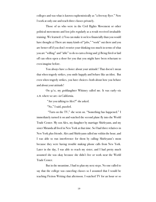colleges and was what is known euphemistically as "a freeway flyer." Now I work at only one and teach three classes privately.

 Those of us who were in the Civil Rights Movement or other political movements and lost jobs regularly as a result received invaluable training. We learned: 1) You can make it on less financially than you would have thought 2) There are many kinds of "jobs," "work" out there and you are better off if you don't restrict your thinking too much in terms of what you are "willing" and "able" to do to earn a living and 3) Being fired or laid off can often open a door for you that you might have been reluctant to even imagine before.

 You always have a choice about your attitude! That doesn't mean that when tragedy strikes, you smile happily and behave like an idiot. But even when tragedy strikes, you have choices—both about how you behave and about your attitude!

On  $9/\pi$ , my goddaughter Whitney called me. It was early-six A.M. where we are—in California.

"Are you talking to Alex?" she asked.

"No," I said, puzzled.

 "Turn on the TV," she went on. "Something has happened." I immediately turned it on and watched the second plane fly into the World Trade Center. My son Alex, my daughter by marriage Shirleyann, and my sister Miranda all lived in New York at that time. So I had three relatives in New York plus friends. Alex and Shirleyann called me within the hour, and I was able to run interference for them by calling Shirleyann's mom because they were having trouble making phone calls from New York. Later in the day, I was able to reach my sister, and I had pretty much assumed she was okay because she didn't live or work near the World Trade Center.

 But in the meantime, I had to plan my next steps. No one called to say that the college was canceling classes so I assumed that I would be teaching Fiction Writing that afternoon. I watched TV for an hour or so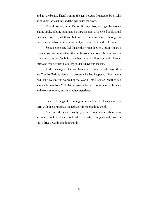and got the basics. Then I went to the gym because I wanted to be as calm as possible for teaching, and the gym calms me down.

 That afternoon, in the Fiction Writing class, we began by making a large circle, holding hands and having a moment of silence. People could meditate, pray or just think, but we were holding hands, sharing our energy with each other in a moment of great tragedy. And then I taught.

 Some people may feel I made the wrong decision, but if you are a teacher, you will understand that a classroom can often be a refuge for students, a source of stability—whether they are children or adults. I know this to be true because a lot of my students have told me it is.

 In the ensuing weeks, my classes were often used—because they are Creative Writing classes—to process what had happened. One student had lost a cousin who worked at the World Trade Center. Another had actually been in New York, had relatives who were policemen and firemen and wrote a stunning story about her experience.

 Small bad things like running in the mud or even losing a job can turn, with time or perhaps immediately, into something good!

 And even during a tragedy, you have some choice about your attitude. Look at all the people who have taken a tragedy and turned it into a drive toward something good!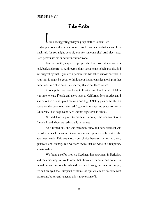#### PRINCIPLE #7

### **Take Risks**

I am not suggesting that you jump off the Golden Gate Bridge just to see if you can bounce! And remember—what seems like a small risk for you might be a big one for someone else! And vice versa. Each person has his or her own comfort zone.

 But later in life, it appears, people who have taken almost no risks look back and regret it. And regrets don't seem to me to help people. So I *am* suggesting that if you are a person who has taken almost no risks in your life, it might be good to think about it and consider moving in that direction. Each of us has a life's journey that is out there for us!

 At one point, we were living in Florida, and I took a risk. I felt it was time to leave Florida and move back to California. My son Alex and I started out in a beat up old car with our dog O'Malley planted firmly in a space on the back seat. We had \$5,000 in savings, no place to live in California, I had no job, and Alex was not registered in school.

 We did have a place to crash in Berkeley—the apartment of a friend's friend whom we had actually never met.

 As it turned out, she was extremely busy, and her apartment was crowded so each morning, it was incumbent upon us to be out of the apartment early. This was mostly our choice because she was also very generous and friendly. But we were aware that we were in a temporary situation there.

 We found a coffee shop we liked near her apartment in Berkeley, and each morning we would order hot chocolate for Alex—and coffee for me—along with various breads and pastries. During our time in Europe, we had enjoyed the European breakfast of *café au lait* or *chocolat* with croissants, butter and jam, and this was a version of it.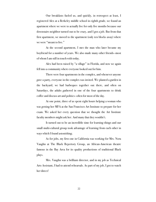Our breakfasts fueled us, and quickly, in retrospect at least, I registered Alex at a Berkeley middle school in eighth grade, we found an apartment where we were to actually live for only five months because our downstairs neighbor turned out to be crazy, and I got a job. But from that first apartment, we moved to the apartment (only ten blocks away) where we were "meant to live."

 At the second apartment, I met the man who later became my boyfriend for a number of years. We also made many other friends—most of whom I am still in touch with today.

 Alex had been raised by "a village" in Florida, and now we again fell into a community where everyone looked out for him.

 There were four apartments in the complex, and whenever anyone gave a party, everyone in the complex was invited. We planted a garden in the backyard, we had barbeques together out there, and often on Saturdays, the adults gathered in one of the four apartments to drink coffee and discuss art and politics—often for most of the day.

 At one point, three of us spent eight hours helping a woman who was getting her MFA at the San Francisco Art Institute to prepare for her exam. We asked her every question that we thought the Art Institute faculty members might ask her. And many that they wouldn't.

 It turned out to be an incredible time for learning things and our small multi-cultural group took advantage of learning from each other in ways which I found astonishing.

 As for jobs, my first one in California was working for Mrs. Nora Vaughn at The Black Repertory Group, an African-American theatre famous in the Bay Area for its quality productions of traditional Black plays.

 Mrs. Vaughn was a brilliant director, and in my job as Technical Arts Assistant, I had to attend rehearsals. As part of my job, I got to watch her direct!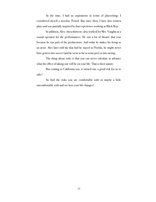At the time, I had no aspirations in terms of playwriting. I considered myself a novelist. Period. But since then, I have also written plays and was partially inspired by that experience working at Black Rep.

 In addition, Alex—then thirteen—also worked for Mrs. Vaughn as a sound operator for the performances. He saw a lot of theatre that year because he was part of the productions. And today he makes his living as an actor. Alex later told me that had he stayed in Florida, he might never have gotten into soccer (and he went as far as semi-pro) or into acting.

The thing about risks is that you can never calculate in advance what the effect of taking one will be on your life. That is their nature.

 But coming to California was, it turned out, a good risk for us to take!

So find the risks you are comfortable with or maybe a little *un*comfortable with and see how your life changes!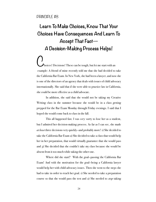#### PRINCIPLE #8

# **Learn To Make Choices, Know That Your Choices Have Consequences And Learn To Accept That Fact— A Decision-Making Process Helps!**

hoices! Decisions! These can be tough, but let me start with an example: A friend of mine recently told me that she had decided to take the California Bar Exam. In New York, she had been a lawyer, and now she is one of the directors of an agency that deals with issues of child advocacy internationally. She said that if she were able to practice law in California, she could be more effective as a child advocate.

 In addition, she said that she would not be taking my Creative Writing class in the summer because she would be in a class getting prepped for the Bar Exam Monday through Friday evenings. I said that I hoped she would come back to class in the fall.

 This all happened fast. I was *very* sorry to lose her as a student, but I admired her decision-making process. As far as I can see, she made *at least* three decisions very quickly—and probably more! 1) She decided to take the California Bar Exam 2) She decided to take a class that would help her in her preparation, that would virtually guarantee that she would pass and 3) She decided that she couldn't take my class because she would be absent from it too much while taking the other one.

 Where did she start? With the goal—passing the California Bar Exam! And with the motivation for the goal—being a California lawyer would help her with child advocacy issues. Then she went to the steps she had to take in order to reach her goal. 1) She needed to take a preparation course so that she would pass the test and 2) She needed to *stop* taking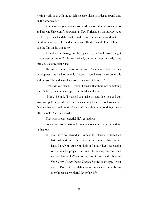writing workshops with me (which she also likes) in order to spend time on the other course.

 A little over a year ago, my son made a short film. It was set in his and his wife Shirleyann's apartment in New York and on the subway. Alex wrote it, produced and directed it, and he and Shirleyann starred in it. He hired a cinematographer and a soundman. He then taught himself how to edit the film on the computer.

 Recently, after having his film rejected by 22 film festivals, he got it accepted by the  $23^{rd}$ . He was thrilled, Shirleyann was thrilled, I was thrilled. We were all thrilled!

 During a phone conversation with Alex about this exciting development, he said repeatedly: "Mom, I could *never* have done this without you! I could *never* have even conceived of doing it!"

 "What do you mean?" I asked. I sensed that there was something specific here, something that perhaps I needed to know.

 "Mom," he said, "I watched you make so many decisions as I was growing up. First you'd say: 'There's something I want to do. How can we *imagine* that we could do it?' Then you'd talk about ways of doing it with other people. And then you did it!"

That *is* my process exactly! He's got it down!

 So after our conversation, I thought about some projects I'd done in that way.

> 1) Soon after we arrived in Gainesville, Florida, I started an African-American dance troupe. (There was at that time no dance for African-American kids in Gainesville.) I expected it to be a summer project, but I ran it for seven years, and then my lead dancer, LaVern Porter, took it over, and it became *The LaVern Porter Dance Troupe*. Several years ago, I went back to Florida for a celebration of the dance troupe. It was one of the most wonderful days of my life.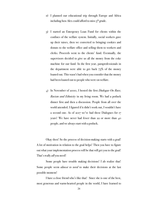- 2) I planned our educational trip through Europe and Africa including how Alex could afford to miss  $5<sup>th</sup>$  grade.
- 3) I started an Emergency Loan Fund for clients within the confines of the welfare system. Initially, social workers gave up their raises, then we converted to bringing cookies and donuts to the welfare office and selling them to workers and clerks. Proceeds went to the clients' fund. Eventually, the supervisors decided to give us all the money from the coke machine for our fund. In the first year, paraprofessionals in the department were able to get back 75% of the money loaned out. This wasn't bad when you consider that the money had been loaned out to people who were on welfare.
- 4) In November of 2000, I hosted the first *Dialogue On Race, Racism and Ethnicity* in my living room. We had a potluck dinner first and then a discussion. People from all over the world attended. I figured if it didn't work out, I wouldn't have a second one. As of 2017 we've had these Dialogues for 17 years! We have never had fewer than 22 or more than 40 people, and we always start with a potluck.

 Okay then! So the process of decision-making starts with a goal! A lot of motivation in relation to the goal helps! Then you have to figure out what your implementation process will be that will get you to the goal! That's really *all* you need!

 Some people have trouble making decisions! I *do* realize that! Some people seem *almost to need* to make their decisions at the last possible moment!

 I have a close friend who's like that! Since she is one of the best, most generous and warm-hearted people in the world, I have learned to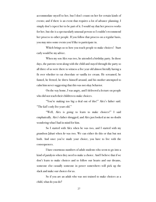accommodate myself to her, but I don't count on her for certain kinds of events; and if there is an event that requires a lot of advance planning, I simply don't expect her to be part of it. I would say that her process works for her, but she is a spectacularly unusual person so I couldn't recommend her process to other people. If you follow that process on a regular basis, you may miss some events you'd like to participate in.

 Which brings us to how you teach people to make choices! Start early would be my advice.

 When my son Alex was two, he attended a birthday party. In those days, the parents went along with the child and stayed through the party so all three of us were there to witness a five year old almost literally having a fit over whether to eat chocolate or vanilla ice cream. He screamed, he fumed, he fretted, he threw himself around, and his mother attempted to calm him never suggesting that this was not okay behavior.

 On the way home, I was angry, and I delivered a lecture on people who did not teach their children to make choices.

 "You're making too big a deal out of this!" Alex's father said. "The kid's only five years old."

 "Well, Alex is going to learn to make choices!" I said emphatically. Alex's father shrugged, and Alex just looked at me no doubt wondering what I had in mind for him.

 So I started with Alex when he was two, and I started with my grandson Jabari when *he* was two. We can either do this or that but not both. And once you've made your choice, you have to live with the consequences.

 I have enormous numbers of adult students who seem to go into a kind of paralysis when they need to make a choice. And I believe that if we don't learn to make choices and to follow our hearts and our dreams, someone else—usually someone in power somewhere—will pick up the slack and make our choices for us.

 So if you are an adult who was not trained to make choices as a child, what do you do?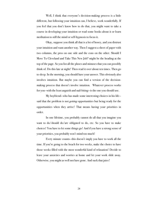Well, I think that everyone's decision-making process is a little different, but following your intuition can, I believe, work wonderfully. If you feel that you don't know how to do that, you might want to take a course in developing your intuition or read some books about it or learn meditation to still the mind or self-hypnosis to focus it.

 Okay, suppose you think all that is a lot of hooey, and you distrust your intuition and want another way. Then I suggest a sheet of paper with two columns, the pros on one side and the cons on the other. Should I Move To Cleveland and Take This New Job? might be the heading at the top of the page. So you list all the pluses and minuses that you can possibly think of. Do this late at night! Then read it over about ten times. Then go to sleep. In the morning, you should have your answer. This obviously also involves intuition. But maybe you can find a version of the decisionmaking process that doesn't involve intuition. Whatever process works for you—with the least anguish and nail-biting—is the one you should use.

 My boyfriend—who has made some interesting choices in his life said that the problem is not *getting* opportunities but being ready for the opportunities when they arrive! That means having your priorities in order.

 In one lifetime, you probably cannot do all that you imagine you want to do/should do/are obligated to do, etc. So you have to make choices! You have to let some things go! And if you have a strong sense of your priorities, you probably won't mind too much!

 Every minute counts—this doesn't imply you have to work all the time. If you're going to the beach for two weeks, make the choice to have those weeks filled with the most wonderful kind of relaxation! Decide to leave your anxieties and worries at home and let your work slide away. Otherwise, you might as well not have gone. And suck that juice!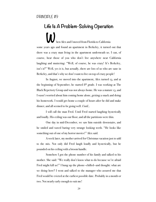**Life Is A Problem-Solving Operation**  hen Alex and I moved from Florida to California some years ago and found an apartment in Berkeley, it turned out that there was a crazy man living in the apartment underneath us. I can, of course, hear those of you who don't live anywhere near California laughing and muttering: "Well, of course, he was crazy! It's Berkeley, isn't it?" Well, yes it is, but actually, there are lots of us who are sane in Berkeley, and that's why we don't want to live on top of crazy people!

 In August, we moved into the apartment, Alex turned 13, and at the beginning of September, he started 8<sup>th</sup> grade. I was working at The Black Repertory Group and was not always home. He was a mature 13, and I wasn't worried about him coming home alone, getting a snack and doing his homework. I would get home a couple of hours after he did and make dinner, and all seemed to be going well. *Until…*

 I will call the man Fred. Until Fred started laughing hysterically and loudly. His ceiling was our floor, and all the partitions were thin.

 One day in mid-December, we saw him outside downstairs, and he smiled and waved baring very strange looking teeth. "He looks like something out of one of my horror movies!" Alex said.

 A week later, my mother arrived for Christmas vacation just to add to the mix. Not only did Fred laugh loudly and hysterically, but he pounded on his ceiling with a broom handle.

 Somehow I got the phone number of his family and talked to his mother. She said: "We really don't know what to do because we're afraid Fred might kill us!" I hung up the phone—chilled—and thought: what are we doing here? I went and talked to the manager who assured me that Fred would be evicted at the earliest possible date. Probably in a month or two. Not nearly early enough to suit me!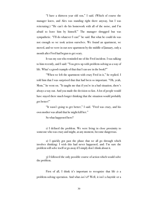"I have a thirteen year old son," I said. (Which of course the manager knew, and Alex was standing right there anyway, but I was reiterating.) "He can't do his homework with all of the noise, and I'm afraid to leave him by himself." The manager shrugged but was sympathetic. "I'll do whatever I can!" he said. But what he could do was not enough so we took action ourselves. We found an apartment, we moved, and we were in our *new* apartment by the middle of January, only a month after Fred had begun to get scary.

 It was my son who reminded me of the Fred incident. I was talking to him recently, and I said: "You grew up with problem-solving as a way of life. What's a good example of that that I can use in the book?"

 "When we left the apartment with crazy Fred in it," he replied. I told him that I was surprised that that had been so important. "Oh, yeah, Mom," he went on. "It taught me that if you're in a bad situation, there's always a way out. And you made the decision so fast. A lot of people would have stayed there much longer thinking that the situation would probably get better!"

"It wasn't going to get better," I said. "Fred was crazy, and his own mother was afraid that he might kill her."

So what happened here?

 1) I defined the problem. We were living in close proximity to someone who was crazy and might, at any moment, become dangerous.

 2) I quickly got past the phase that we all go through which involves thinking: I wish this had never happened, and: I'm sure the problem will solve itself or go away if I simply don't think about it.

 3) I followed the only possible course of action which would solve the problem.

 First of all, I think it's important to recognize that life *is* a problem-solving operation. And what *isn't it*? Well, it isn't a hayride or a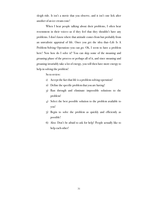sleigh ride. It isn't a movie that you observe, and it isn't one lick after another of an ice cream cone!

 When I hear people talking about their problems, I often hear resentment in their voices—as if they feel that they shouldn't have any problems. I don't know where that attitude comes from but probably from an unrealistic appraisal of life. Once you get the idea that—Life Is A Problem-Solving Operation—you can go: Oh, I seem to have a problem here! Now how do I solve it? You can skip some of the moaning and groaning phase of the process or perhaps all of it, and since moaning and groaning invariably take a lot of energy, you will then have more energy to help in solving the problem!

So to review:

- 1) Accept the fact that life is a problem-solving operation!
- 2) Define the specific problem that you are having!
- 3) Run through and eliminate impossible solutions to the problem!
- 4) Select the best possible solution to the problem available to you!
- 5) Begin to solve the problem as quickly and efficiently as possible!
- 6) Also: Don't be afraid to ask for help! People actually like to help each other!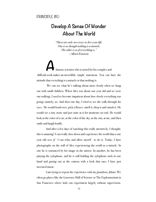#### PRINCIPLE #10

### **Develop A Sense Of Wonder About The World**

*"There are only two ways to live your life. One is as though nothing is a miracle. The other is as if everything is."*  —Albert Einstein

famous scientist who is noted for his complex and difficult work makes an incredibly simple statement. You can have the attitude that everything is a miracle or that nothing is.

We can see what he's talking about most clearly when we hang out with small children. When Alex was about one year old and we were out walking, I used to become impatient about how slowly everything was going—namely, us. And then one day, I tried to see the walk through *his* eyes. He would bend over, pick a flower, smell it, drop it and smash it. He would see a tiny stone and just stare at it for moments on end. He would look at the color of a car, at the color of the sky, at the sun, at me, and then smile and laugh loudly.

 And after a few days of watching this really attentively, I thought: this is amazing! I can really slow down and experience the world that a one year old sees  $if \, I$  can relax and allow myself to do it. Today, I have photographs on the wall of Alex experiencing the world as a miracle. In one he is entranced by his image in the mirror. In another, he has been playing the xylophone, and he is still holding the xylophone stick in one hand and gazing out at the camera with a look that says: I have just invented music.

 I am trying to repeat the experience with my grandson, Jabari. We often go places like the Lawrence Hall of Science or The Exploratorium in San Francisco where kids can experiment largely without supervision.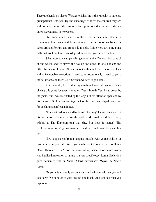These are hands-on places. What astonishes me is the way a lot of parents, grandparents—whoever—try and encourage or force the children they are with to move on as if they are on a European tour that promised them a quick six countries in two weeks.

 One time when Jabari was three, he became interested in a rectangular box that could be manipulated by means of knobs to tilt backward and forward and from side to side. Inside were two ping-pong balls that would roll into holes depending on how you moved the box.

 Jabari wanted me to play this game with him. We each had control of one wheel, and we moved the box up and down, to one side and the other, by means of them. (When I'm out with him, I try to be on his clock with a few notable exceptions—I need to eat occasionally, I need to go to the bathroom, and there is a time when we have to go home.)

After a while, I looked at my watch and noticed that we'd been playing this game for twenty minutes. Was I bored? Yes, I was bored by the game, but I was fascinated by the length of his attention span and by his intensity. So I began keeping track of the time. We played that game for one hour and fifteen minutes.

Now what had we gained by doing it that way? He was immersed in his deep sense of wonder at how the world works. And he didn't see every exhibit at The Exploratorium that day. But does it matter? The Exploratorium wasn't going anywhere, and we could come back another day.

 Now suppose you're not hanging out a lot with young children at this moment in your life. Well, you might want to read or *reread* Henry David Thoreau's *Walden* or the books of any scientist or nature writer who has lived in relation to nature in a very specific way. Loren Eiseley is a good person to read or Annie Dillard, particularly: *Pilgrim At Tinker Creek*.

Or you might simply go on a walk and tell yourself that you will take forty-five minutes to walk around one block. And just see what you experience!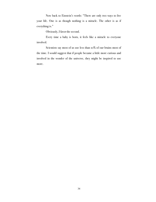Now back to Einstein's words: "There are only two ways to live your life. One is as though nothing is a miracle. The other is as if everything is."

Obviously, I favor the second.

Every time a baby is born, it feels like a miracle to everyone involved.

Scientists say most of us use less than 10% of our brains most of the time. I would suggest that if people became a little more curious and involved in the wonder of the universe, they might be inspired to use more.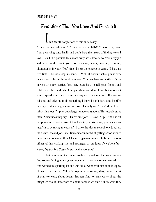# **Find Work That You Love And Pursue It**

I can hear the objections to this one already.

"The economy is difficult." "I have to pay the bills!" "I have kids, come from a working-class family and don't have the luxury of finding work I love." Well, it's possible (as almost every artist knows) to have a day job and also do the work you love: dancing, acting, writing, painting, photography in your "free" time. I hear the objections again. "I have no free time. The kids…my husband…" Well, it doesn't actually take very much time to begin the work you love. You may have to sacrifice TV or movies or a few parties. You may even have to tell your friends and relatives or the hundreds of people whom you don't know but who want you to spend your time in a certain way that you can't do it. If someone calls me and asks me to do something I know I don't have time for (I'm talking about a stranger someone now), I simply say: "I can't do it. I have thirty-nine jobs!" I pick out a large number at random. This usually stops them. Sometimes they say: "Thirty-nine jobs?" I say: "Yup." And I'm off the phone in seconds. Now if this feels to you like lying, you can always justify it to by saying to yourself: "I drive the kids to school, one job; I do the dishes, second job," etc. Remember in terms of getting art or science or whatever done—Geoffrey Chaucer (1340-1400) was a full-time customs officer all his working life and managed to produce: *The Canterbury Tales*, *Troilus And Criseyde*, etc. in his spare time!

 But there is another aspect to this. Try and love the work that you find yourself doing at any given moment. I knew a wise man named J.L. who worked in a parking lot and was full of wonderful bits of philosophy. He said to me one day: "There's no point in worrying, Mary, because most of what we worry about doesn't happen. And we can't worry about the things we should have worried about because we didn't know what they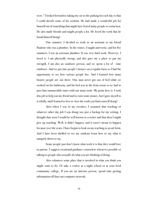were." I looked forward to taking my car to the parking lot each day so that I could absorb some of his wisdom. He had made a wonderful job for himself out of something that might have bored many people to extinction. He also made friends and taught people a lot. He loved the work that he found himself doing!

 One summer, I decided to work as an assistant to my friend Paulette who was a plumber. In the winter, I taught and wrote, and for five summers, I was an assistant plumber. It was very hard work. However, I loved it. I am physically strong, and this gave me a place to put my strength. I am also an outdoors person, and we spent a lot of time outdoors. And we got into people's houses on a regular basis so I had the opportunity to see how various people live. And I learned how many bizarre people are out there. One man never got out of bed while we worked on his bathroom, and his bed was in the front room so we had to pass him innumerable times with our many tools. My point here is: I took this job to help out my friend and to earn some money, but I gave myself to it wholly, and I learned to love it—love the work you find yourself doing!

 Also—when I was in my twenties, I assumed that teaching or whatever other day job I was doing was just a backup for my writing. I thought that soon I would be well known as a writer and that then I might give up teaching. Well, it didn't happen, and it wasn't meant to happen because over the years, I have begun to look on my teaching as an art form. And I have been thrilled to see my students learn how to say what is uniquely theirs to say.

 Some people just don't know what work it is that they would love to pursue. I suggest vocational guidance counselors whenever possible or talking to people who *actually do* what you are thinking of doing.

 Also volunteer some place that is involved in what you think you might want to do. Or take a course at a night school or at your local community college. If you are an internet person, spend time getting information off that vast computer network.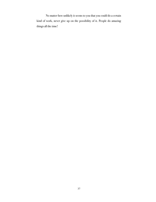No matter how unlikely it seems to you that you could do a certain kind of work, never give up on the possibility of it. People do amazing things all the time!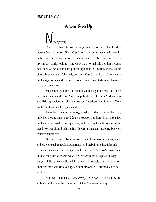#### PRINCIPLE #12

### **Never Give Up**

ever give up!

 Cut to the chase! My own writing career! Has been difficult. After much effort, my novel *Dark Roads* was sold by an absolutely terrific, highly intelligent and sensitive agent named Toby Eady to a very prestigious British editor, Tony Godwin, who had left London because more money was available for publishing books in America. In the course of just three months, Toby Eady got *Dark Roads* in and out of three major publishing houses and got me the offer from Tony Godwin at Harcourt, Brace & Jovanovich.

 Subsequently, Tony Godwin died, and Toby Eady (who had never particularly cared either for American publishing or for New York—he was also British) decided to give lectures on American wildlife and African politics and stopped being an agent.

 I have had other agents who gradually faded out or never faded in, but when it came time to get *The God-Hustlers* out there, I sent it to a few publishers, received a few rejections, and then my friends convinced me that I (or we) should self-publish. It was a long and grueling but very educational process.

 We raised money by means of: pre-publication orders, gifts, loans and projects such as readings and raffles and a fabulous collectibles sale basically, by means of anything we could think up. *The God-Hustlers* came out just ten years after *Dark Roads*. We were under-budgeted in every way, and I did as many radio and TV shows as I possibly could in order to publicize the book. It was a huge amount of work, but it turned out to be worth it!

 Another example: *A Confederacy Of Dunces* was sold by the author's mother after he committed suicide. She never gave up.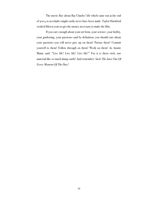The movie *Ray* about Ray Charles' life which came out at the end of 2004 to accolades might easily never have been made. Taylor Hackford worked fifteen years to get the money necessary to make the film.

 If you care enough about your art form, your science, your hobby, your gardening, your passions—and by definition, you should care about your passions—you will never give up on them! Pursue them! Commit yourself to them! Follow through on them! Work on them! As Auntie Mame said: "Live life! Live life! Live life!" For it is there—rich, raw material like so much damp earth! And remember: *Suck The Juice Out Of Every Moment Of The Day!*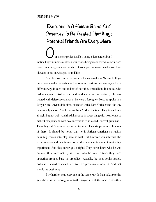# **Everyone Is A Human Being And Deserves To Be Treated That Way; Potential Friends Are Everywhere**

ur society prides itself on being a democracy, but I notice huge numbers of class distinctions being made everyday. Some are based on money, some on the kind of work you do, some on what you look like, and some on what you sound like.

 A well-known novelist friend of mine—William Melvin Kelley once conducted an experiment. He went into various businesses, spoke in different ways in each one and noted how they treated him. In one case, he had an elegant British accent (and he does the accent perfectly); he was treated with deference and as if he were a foreigner. Next he spoke in a fairly neutral way: middle class, educated with a New York accent—the way he normally speaks. And he was in New York at the time. They treated him all right but not well. And third, he spoke in street slang with no attempt to make it eloquent and with no concessions to so-called "correct grammar." Then they didn't want to deal with him at all. They simply wanted him out of there. It should be noted that he is African-American so racism definitely comes into play here as well. But however you interpret the issues of class and race in relation to the outcome, it was an illuminating experiment. And they never got it right! They never knew who he was because they were not trying to *see* who he was. Instead, they were operating from a base of prejudice. Actually, he is a sophisticated, brilliant, Harvard-educated, well-traveled professional novelist. And that is only the beginning!

 I try hard to treat everyone in the same way. If I am talking to the guy who runs the parking lot or to the mayor, it is all the same to me—they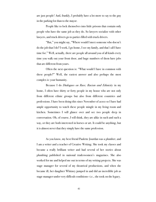are just people! And, frankly, I probably have a lot more to say to the guy in the parking lot than to the mayor.

 People like to lock themselves into little prisons that contain only people who have the same job as they do. So lawyers socialize with other lawyers, and truck drivers go to parties filled with truck drivers.

 "But," you might say, "Where would I meet someone who doesn't do the job that I do? I work, I go home, I see my family, and that's all I have time for." Well, actually, there are people all around you of all kinds every time you walk out your front door, and huge numbers of them have jobs that are different from yours.

 Often the next question is: "What would I have in common with these people?" Well, the easiest answer and also perhaps the most complex is: your humanity.

 Because I do *Dialogues on Race, Racism and Ethnicity* in my home, I often have thirty or forty people in my house who are not only from different ethnic groups but also from different countries and professions. I have been doing this since November of 2000 so I have had ample opportunity to watch these people mingle in my living room and kitchen. Sometimes I will glance over and see two people deep in conversation. Oh, of course, I will think, they are alike in such and such a way, or they are both interested in horses or art. It could be anything, but it is almost never that they simply have the same profession.

As you know, my best friend Paulette Jourdan was a plumber, and I am a writer and a teacher of Creative Writing. She took my classes and became a really brilliant writer and had several of her stories about plumbing published in national tradeswomen's magazines. She also worked for me and helped me out in terms of my writing projects. She was stage manager for several of my theatrical productions, and when she became ill, her daughter Whitney jumped in and did an incredible job as stage manager under very difficult conditions—i.e., she took on the legacy.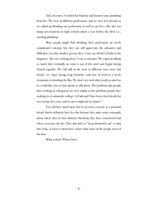And, of course, I worked for Paulette and learned some plumbing from her. We were in different professions, and we were best friends so we ended up blending our professions as well as our lives. She also was doing presentations in high schools about a year before she died, i.e., *teaching* plumbing.

 Most people might find blending their professions an overly complicated concept, but they can still appreciate the pleasures and difficulties of what another person does. I met my friend LaVada in the drugstore. She was working there; I was a customer. We enjoyed talking so much that eventually we took it out of the store and began having brunch together. We still talk at the store (a different store now), but mostly, we enjoy having long brunches with lots of food in a lovely restaurant overlooking the Bay. We don't see each other nearly as much as we would like, but we have plenty to talk about. The problems that people have working in a drugstore are very similar to the problems people have working in a community college. LaVada and I have been close friends for over twenty-five years, and we met completely by chance!

 You will have much more fun if you treat everyone as a potential friend. Snobs definitely have *less* fun because they must worry constantly about where they fit into whatever hierarchy they have constructed and where everyone else fits. They also have to "keep themselves up" so that they look, at least to themselves, better than most of the people most of the time.

What a chore! What a bore!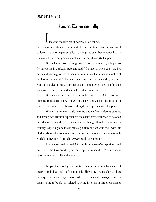#### PRINCIPLE #14

### **Learn Experientially**

I deas and theories are all very well, but for me, the experience always comes first. From the time that we are small children, we learn experientially. No one gives us a theory about how to walk or talk; we simply experiment, and one day it starts to happen.

 When I was first learning how to use a computer, a hypnotist friend put me in a relaxed state and said: "Go back to when you were five or six and learning to read. Remember what it was like when you looked at the letters and couldn't decipher them, and then gradually they began to reveal themselves to you. Learning to use a computer is much simpler than learning to read." I found that that helped me immensely.

 When Alex and I traveled through Europe and Africa, we were learning thousands of new things on a daily basis. I did not do a lot of research before we took this trip. I thought: let's just see what happens.

 When you are constantly meeting people from different cultures and having new cultural experiences on a daily basis, you need to be open in order to *receive* the experience you are being offered. If you enter a country—especially one that is radically different from your own—with lots of ideas about what someone else's culture is all about when you have only read about it, you will probably *never* be able to experience it.

 Both my son and I found Africa to be an *incredible* experience and one that is best received if you can empty your mind of Western ideas before you leave the United States.

People tend to try and control their experiences by means of theories and ideas, and that's impossible. However, it *is* possible to block the experiences you might have had by too much theorizing. Intuition seems to me to be closely related to living in terms of direct experience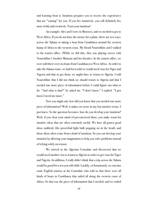and learning from it. Intuition prepares you to receive the experiences that are "waiting" for you. If you live intuitively, you will definitely live more richly and creatively. Trust your intuition!

 An example: Alex and I were in Morocco, and we needed to get to West Africa. If you do not have the money for a plane, there are two ways: across the Sahara or taking a boat from Casablanca around the western hump of Africa to the western coast. My friend Noureddine and I walked to the tourist office. (While we did this, Alex was playing soccer with Noureddine's brother Mimoun and his friends.) At the tourist office, we were told there were no boats from Casablanca to West Africa. In order to take the Sahara route, we had been told we would need visas for Niger and Nigeria and that to get them, we might have to return to Algeria. I told Noureddine that I did not think we should return to Algeria and that I needed one more piece of information before I could figure out what to do. "And what is that?" he asked me. "I don't know," I replied. "I just know I need one more."

 Now you might ask: how did you know that you needed one more piece of information? Well, it makes no sense in any but intuitive terms. I just knew. So the question becomes: how do you develop your intuition? Well, if you clear your mind of preconceived ideas, you make room for intuitive ideas that are often extremely useful. We have all gotten good ideas suddenly (the proverbial light bulb popping on in the head), and those ideas often come from a kind of intuition. So you can develop your intuition by allowing your imagination to help you solve problems instead of relying solely on reason.

 We arrived at the Algerian Consulate and discovered that we would need another visa to return to Algeria in order to get visas for Niger and Nigeria. In addition, I really didn't think that a trip across the Sahara would be good for a ten year old child. Luckily, or fortuitously, we ran into some English tourists at the Consulate who told us that there were all kinds of boats in Casablanca that sailed all along the western coast of Africa. So that was the piece of information that I needed, and we ended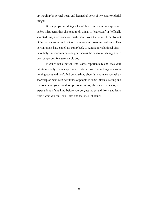up traveling by several boats and learned all sorts of new and wonderful things!

 When people are doing a lot of theorizing about an experience before it happens, they also tend to do things in "expected" or "officially accepted" ways. So someone might have taken the word of the Tourist Office as an absolute and believed there were no boats in Casablanca. That person might have ended up going back to Algeria for additional visas incredibly time-consuming—and gone across the Sahara which might have been dangerous for a ten year old boy.

 If you're not a person who learns experientially and uses your intuition readily, try an experiment. Take a class in something you know nothing about and don't find out anything about it in advance. Or: take a short trip or meet with new kinds of people in some informal setting and try to empty your mind of preconceptions, theories and ideas, i.e. expectations of any kind before you go. Just let go and live it and learn from it what you can! You'll also find that it's a lot of fun!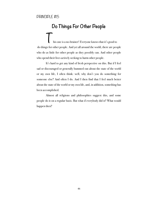#### PRINCIPLE #15

### **Do Things For Other People**

This one is a no-brainer! Everyone knows that it's good to do things for other people. And yet all around the world, there are people who do as little for other people as they possibly can. And other people who spend their lives actively seeking to harm other people.

 It's hard to get any kind of fresh perspective on this. But if I feel sad or discouraged or generally bummed out about the state of the world or my own life, I often think: well, why don't you do something for someone else? And often I do. And I then find that I feel much better about the state of the world or my own life, and, in addition, something has been accomplished.

 Almost all religions and philosophies suggest this, and some people do it on a regular basis. But what if everybody did it? What would happen then?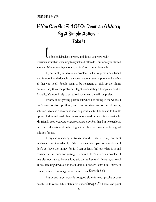# **If You Can Get Rid Of Or Diminish A Worry By A Simple Action— Take It**

I often look back on a worry and think: you were really worried about that (speaking to myself as I often do), but once you started actually *doing* something about it, it didn't turn out to be much.

 If you think you have a tax problem, call a tax person or a friend who is more knowledgeable than you are about taxes. A phone call is often all that you need! People seem to be reluctant to pick up the phone because they think the problem will get worse if they ask anyone about it. Actually, it's more likely to get solved. Or e-mail them if you prefer.

 I worry about getting poison oak when I'm hiking in the woods. I don't want to give up hiking, and I *am* sensitive to poison oak so my solution is to take a shower as soon as possible after hiking and to bundle up my clothes and wash them as soon as a washing machine is available. My friends *who have never gotten poison oak* feel that I'm overzealous, but I'm really miserable when I get it so this has proven to be a good solution for me.

 If my car is making a strange sound, I take it to my excellent mechanic Dave immediately. If there is some big repair to be made and I don't yet have the money for it, I can at least find out what it is and consider a timeframe for getting it repaired. If it's a serious problem, I may also not want to be on a long trip on the freeway! Because, as we all know, breaking down out in the middle of nowhere is not fun. Unless, of course, you see that as a great adventure. (See Principle #4)

 But by and large, worry is not good either for your psyche or your health! So to repeat J.L.'s statement under Principle #11: There's no point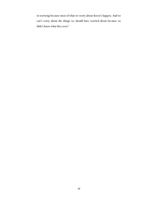in worrying because most of what we worry about doesn't happen. And we can't worry about the things we should have worried about because we didn't know what they were!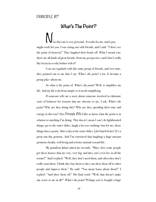### **What's The Point?**

ow this one is very personal. It works for me, and it just might work for you. I was eating out with friends, and I said: "I don't see the point of focaccia!" They laughed their heads off. What I meant was: there are all kinds of great breads—from my perspective—and I don't really like focaccia so why bother with it?

 I eat out regularly with this same group of friends, and over time, they pointed out to me that I say: *What's the point?* a lot. It became a group joke—about me.

 So what *is* the point of: *What's the point?* Well, it simplifies my life. And my life is far from simple so it needs simplifying.

 If someone tells me a story about someone involved in elaborate sorts of behavior for reasons that are obscure to me, I ask: *What's the point?* Why are they doing this? Why are they spending their time and energy in this way? (See Principle #18) I like to know what the point is in relation to anything I'm doing. This doesn't mean I can't do lighthearted things—go to the water slides, laugh a lot over nothing—but for me, those things *have* a point. After a day at the water slides, I *feel* much better! It's a great one-day getaway. And I'm convinced that laughing a *huge amount* promotes health, well-being and a better attitude toward life.

 My grandson Jabari asked me recently: "Mary, how come people get these houses that are very, very big, and they can't even live in all the rooms?" And I replied: "Well, they don't need them, and often they don't really want them. I think they buy them so they can show them off to other people and impress them." He said: "You mean boast about them?" I replied: "And show them off." His final word: "Well, that doesn't make any sense to me at all!" *What's the point?* Perhaps you've bought a huge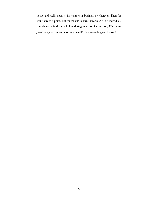house and really need it—for visitors or business or whatever. Then for you, there is a point. But for me and Jabari, there wasn't. It's individual. But when you find yourself floundering in terms of a decision, *What's the point?* is a good question to ask yourself! It's a grounding mechanism!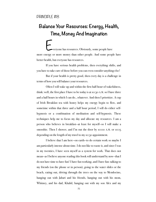### **Balance Your Resources: Energy, Health, Time, Money And Imagination**

**Everyone has resources. Obviously, some people have** more energy or more money than other people. And some people have better health, but everyone has resources.

 If you have serious health problems, then everything shifts, and you have to take care of those before you can even consider anything else!

 But if your health is pretty good, then every day is a challenge in terms of how you will balance your resources.

 Often I will wake up and within the first half-hour of wakefulness, think: well, the first place I have to be today is at 10:30 A.M. so I have three and a half hours in which I can do…whatever. And then I prioritize. A cup of Irish Breakfast tea with honey helps my energy begin to flow, and sometime within that three and a half hour period, I will do either selfhypnosis or a combination of meditation and self-hypnosis. These techniques help me to focus my day and allocate my resources. I am a person who believes in breakfast—at least for myself—so I will make a smoothie. Then I shower, and I'm out the door by 10:00 A.M. or 10:15 depending on the length of my travel to my 10:30 appointment.

 I believe that I am here—on earth—to do certain work so maybe I am particularly intense about time. I do not like to waste it, and since I was in my twenties, I have seen myself as a system for work. That does not mean—as I believe anyone reading this book will understand by now—that I do not have time to have fun! I have fun working, and I have fun: talking to my friends (on the phone or in person), going to the water slides or the beach, eating out, driving through the trees on the way to Mendocino, hanging out with Jabari and his friends, hanging out with his mom, Whitney, and his dad, Khalid, hanging out with my son Alex and my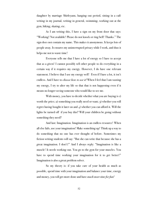daughter by marriage Shirleyann, hanging out period, sitting in a café writing in my journal, writing in general, swimming, working out at the gym, hiking, skating, etc.

 As I am writing this, I have a sign on my front door that says: "Working! Not available! Please do not knock or ring bell! Thanks." The sign does not contain my name. This makes it anonymous. It keeps lots of people away. It ensures my uninterrupted privacy while I work, and thus it helps me not to waste time!

 Everyone tells me that I have a lot of energy so I have to accept that as a given! I cannot possibly tell other people to do everything in a certain way if it requires my energy. However, I do have one relevant statement. I believe that I use my energy well! Even if I have a lot, it isn't endless. And I have to *choose how to use it!* When I feel that I am wasting my energy, I try to alter my life so that that is not happening even if it means no longer seeing someone who would like to see me.

 With money, you have to decide whether what you are buying is 1) worth the price; 2) something you really need or want; 3) whether you will regret having bought it later on and  $\phi$  whether you can afford it. Will the lights be turned off if you buy this? Will your children be going without something they need?

 And last: Imagination. Imagination is an endless resource! When all else fails, use your imagination! Make something up! Think up a way to do something that no one has ever thought of before. Sometimes my fiction writing students will say: "But she can write that because she has a great imagination. I don't!" And I always reply: "Imagination is like a muscle! It needs working out. You go to the gym for your muscles. You have to spend time working your imagination for it to get better!" Imagination is also a great problem solver.

 So my theory is: if you take care of your health as much as possible, spend time with your imagination and balance your time, energy and money, you will get more done and have *much more time for fun!*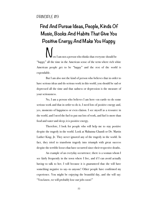# **Find And Pursue Ideas, People, Kinds Of Music, Books And Habits That Give You Positive Energy And Make You Happy**

ow I am not a person who thinks that everyone should be "happy" all the time in the American sense of the term where rich white American people get to be "happy" and the rest of the world is expendable.

 But I am also not the kind of person who believes that in order to have serious ideas and do serious work in this world, you should be sad or depressed all the time and that sadness or depression is the measure of your seriousness.

 No, I am a person who believes I am here—on earth—to do some serious work and that in order to do it, I need lots of positive energy and, yes, moments of happiness or even elation. I see myself as a resource in the world, and I need the fuel to put out lots of work, and fuel is more than food and water and sleep; it is positive energy.

 Therefore, I look for people who will help me to stay positive despite the tragedy in the world. Look at Mahatma Ghandi or Dr. Martin Luther King, Jr. They never ignored any of the tragedy in the world. In fact, they tried to transform tragedy into triumph with great success despite the terrible losses that have occurred since their respective deaths.

 An example of an everyday occurrence; there is a woman whom I see fairly frequently in the town where I live, and if I can avoid actually having to talk to her, I will because it is guaranteed that she will have something negative to say—to anyone! Other people have confirmed my experience. You might be enjoying the beautiful day, and she will say: "You know, we will probably lose our jobs soon!"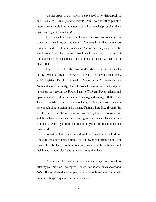Another aspect of this issue is—people need to do what appeals to *them*, *what gives them positive energy!* Don't bow to other people's interests or tastes; it doesn't matter what makes them happy or gives them positive energy. It's about you!

 I remember I told a woman I know that my son was taking me to a concert and that I was excited about it. She asked me what the concert was, and I said: "It's Dionne Warwick." She was not only surprised. She was horrified! She had assumed that I would only go to a concert of classical music. As it happens, I like all kinds of music. But that wasn't okay with her.

 In my circle of friends, if you're disturbed about life and need a boost, a good activity is Yoga with Yofe which I've already mentioned. Yofe's boyfriend David is the head of *The San Francisco Medicine Ball Band* and plays banjo and guitar and chromatic harmonica. The band plays in various spots around the Bay, and many of Yofe and David's friends end up on weekend nights at various cafés dancing and singing with the band. This is an activity that makes me very happy. In fact, personally I cannot say enough about singing and dancing. Taking a long hike through the woods to a waterfall also works for me. You simply have to learn over time and through experience who and what is good for you and what and whom you need to avoid if you're to continue to do good work in a difficult and tragic world.

 Sometimes I am somewhere where I don't need to be, and I think: I need to get out of here. Often I will call my friend Naomi when I get home. She is brilliant, insightful, realistic, down to earth and funny. I will feel: I need a Naomi blast! She has never disappointed me.

 To reiterate: the main problem in implementing this principle is thinking you *don't have the right to choose your friends, ideas, music and habits.* If you believe that other people have the right to steer you in their direction, this principle will never work for you.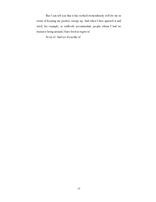But I can tell you that it has worked tremendously well for me in terms of keeping my positive energy up. And when I have ignored it and tried, for example, to endlessly accommodate people whom I had no business being around, I have lived to regret it!

So try it! And see if you like it!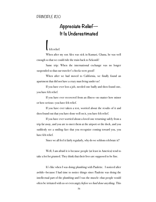#### PRINCIPLE #20

### **Appreciate Relief— It Is Underestimated**

#### felt relief:

 When after my son Alex was sick in Kumasi, Ghana, he was well enough so that we could ride the train back to Sekondi!

 Same trip: When the international exchange was no longer suspended so that our traveler's checks were good!

 When after we had moved to California, we finally found an apartment that did not have a crazy man living under us!

 If you have ever lost a job, needed one badly and then found one, you have felt relief.

 If you have ever recovered from an illness—no matter how minor or how serious—you have felt relief.

 If you have ever taken a test, worried about the results of it and then found out that you have done well on it, you have felt relief.

 If you have ever worried about a loved one returning safely from a trip far away, and you are to meet them at the airport or the dock, and you suddenly see a smiling face that you recognize coming toward you, you have felt relief.

Since we all feel it fairly regularly, why do we seldom celebrate it?

Well, I am afraid it is because people (at least in America) tend to take a lot for granted. They think that their lives are supposed to be fine.

 It's like when I was doing plumbing with Paulette. I noticed after awhile—because I had time to notice things since Paulette was doing the intellectual part of the plumbing and I was the muscle—that people would often be irritated with us or even angry *before we had done anything*. This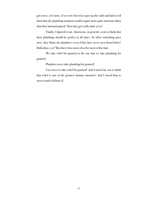got worse, of course, if we were forced to open up the walls and had to tell them that the plumbing situation would require more parts and more labor than they had anticipated. Then they got really mad—*at us!*

Finally, I figured it out. Americans, in general, seem to think that their plumbing should be perfect at all times. So when something goes awry, they blame the plumbers—even if they have never seen them before! Ridiculous, yes? But that is how most of us live most of the time.

 We take relief for granted in the way that we take plumbing for granted.

Plumbers *never* take plumbing for granted!

 I try never to take relief for granted! And I raised my son to think that relief is one of the greatest human emotions! And I raised him to savor it and celebrate it!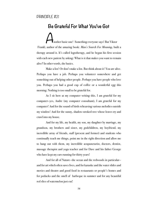#### PRINCIPLE #21

**Be Grateful For What You've Got** 

Another basic one! Something everyone says! But Viktor Frankl, author of the amazing book: *Man's Search For Meaning*, built a therapy around it. It's called logotherapy, and he began his first session with each new patient by asking: What is it that makes you want to remain alive? In other words, the basics.

 Make a list! Or don't make a list. But think about it! You are alive. Perhaps you have a job. Perhaps you volunteer somewhere and get something out of helping other people. Perhaps you have people who love you. Perhaps you had a good cup of coffee or a wonderful egg this morning. Nothing is too small to be grateful for.

 As I sit here at my computer writing this, I am grateful for my computer—yes, Andre (my computer consultant), I am grateful for my computer! And for the sound of birds rehearsing various melodies outside my window! And for the sunny, shadow-stroked tree whose leaves try and crawl into my house.

 And for my life, my health, my son, my daughter by marriage, my grandson, my brothers and sister, my godchildren, my boyfriend, my incredible array of friends, staff (present and former) and students who continually teach me things, point me in the right direction and allow me to hang out with them, my incredible acupuncturist, doctors, dentist, massage therapist and yoga teacher and for Dave and his father George who have kept my cars running for thirty years!

 And for all of Nature—the ocean and the redwoods in particular and for art which often saves lives, and for karaoke and the water slides and movies and theatre and good food in restaurants or people's homes and for potlucks and the smell of barbeque in summer and for any beautiful red slice of watermelon just cut!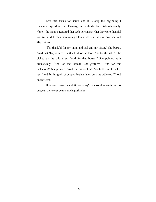Lest this seems too much—and it is only the beginning—I remember spending one Thanksgiving with the Enkoji-Busch family. Nancy (the mom) suggested that each person say what they were thankful for. We all did, each mentioning a few items, until it was three year old Miyoshi's turn.

 "I'm thankful for my mom and dad and my sister," she began, "And that Mary is here. I'm thankful for the food. And for the salt!" She picked up the saltshaker. "And for that butter!" She pointed at it dramatically. "And for that bread!" she gestured. "And for this tablecloth!" She pointed. "And for this napkin!" She held it up for all to see. "And for this grain of pepper that has fallen onto the tablecloth!" And on she went!

 How much is too much? Who can say? In a world as painful as this one, can there ever be too much gratitude?